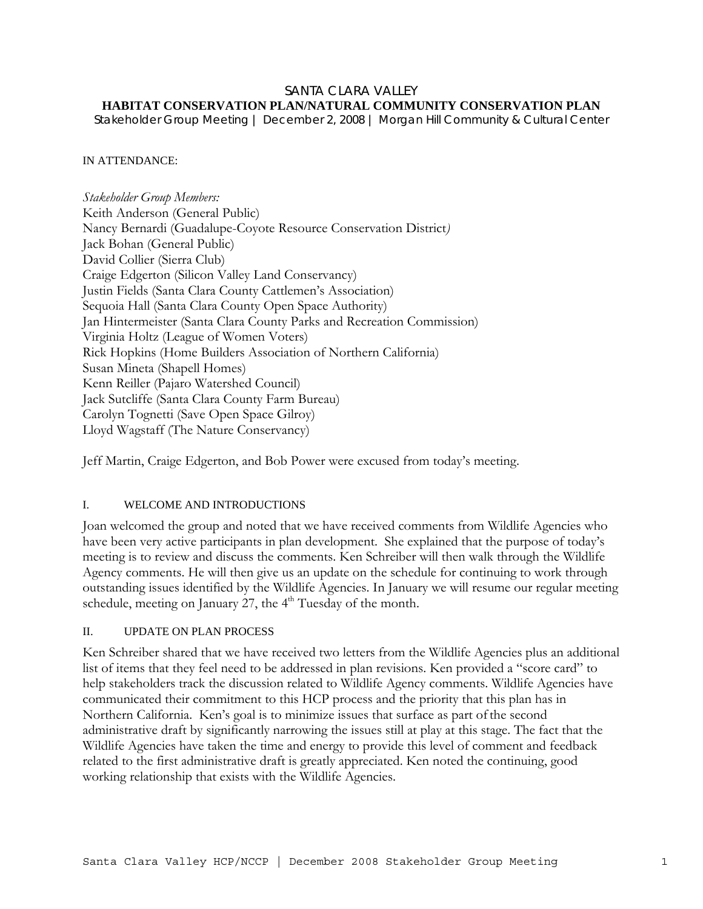#### SANTA CLARA VALLEY **HABITAT CONSERVATION PLAN/NATURAL COMMUNITY CONSERVATION PLAN**

*Stakeholder Group Meeting | December 2, 2008 | Morgan Hill Community & Cultural Center* 

#### IN ATTENDANCE:

*Stakeholder Group Members:*  Keith Anderson (General Public) Nancy Bernardi (Guadalupe-Coyote Resource Conservation District*)*  Jack Bohan (General Public) David Collier (Sierra Club) Craige Edgerton (Silicon Valley Land Conservancy) Justin Fields (Santa Clara County Cattlemen's Association) Sequoia Hall (Santa Clara County Open Space Authority) Jan Hintermeister (Santa Clara County Parks and Recreation Commission) Virginia Holtz (League of Women Voters) Rick Hopkins (Home Builders Association of Northern California) Susan Mineta (Shapell Homes) Kenn Reiller (Pajaro Watershed Council) Jack Sutcliffe (Santa Clara County Farm Bureau) Carolyn Tognetti (Save Open Space Gilroy) Lloyd Wagstaff (The Nature Conservancy)

Jeff Martin, Craige Edgerton, and Bob Power were excused from today's meeting.

### I. WELCOME AND INTRODUCTIONS

Joan welcomed the group and noted that we have received comments from Wildlife Agencies who have been very active participants in plan development. She explained that the purpose of today's meeting is to review and discuss the comments. Ken Schreiber will then walk through the Wildlife Agency comments. He will then give us an update on the schedule for continuing to work through outstanding issues identified by the Wildlife Agencies. In January we will resume our regular meeting schedule, meeting on January 27, the 4<sup>th</sup> Tuesday of the month.

## II. UPDATE ON PLAN PROCESS

Ken Schreiber shared that we have received two letters from the Wildlife Agencies plus an additional list of items that they feel need to be addressed in plan revisions. Ken provided a "score card" to help stakeholders track the discussion related to Wildlife Agency comments. Wildlife Agencies have communicated their commitment to this HCP process and the priority that this plan has in Northern California. Ken's goal is to minimize issues that surface as part of the second administrative draft by significantly narrowing the issues still at play at this stage. The fact that the Wildlife Agencies have taken the time and energy to provide this level of comment and feedback related to the first administrative draft is greatly appreciated. Ken noted the continuing, good working relationship that exists with the Wildlife Agencies.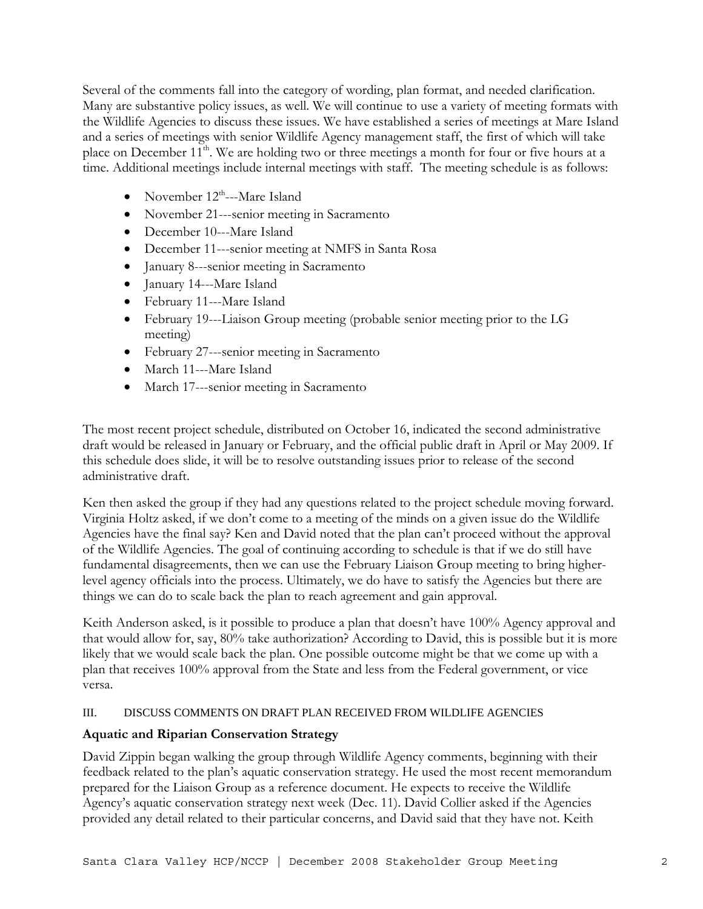Several of the comments fall into the category of wording, plan format, and needed clarification. Many are substantive policy issues, as well. We will continue to use a variety of meeting formats with the Wildlife Agencies to discuss these issues. We have established a series of meetings at Mare Island and a series of meetings with senior Wildlife Agency management staff, the first of which will take place on December 11<sup>th</sup>. We are holding two or three meetings a month for four or five hours at a time. Additional meetings include internal meetings with staff. The meeting schedule is as follows:

- November  $12^{\text{th}}$ ---Mare Island
- November 21---senior meeting in Sacramento
- December 10---Mare Island
- December 11---senior meeting at NMFS in Santa Rosa
- January 8---senior meeting in Sacramento
- January 14---Mare Island
- February 11---Mare Island
- February 19---Liaison Group meeting (probable senior meeting prior to the LG meeting)
- February 27---senior meeting in Sacramento
- March 11---Mare Island
- March 17---senior meeting in Sacramento

The most recent project schedule, distributed on October 16, indicated the second administrative draft would be released in January or February, and the official public draft in April or May 2009. If this schedule does slide, it will be to resolve outstanding issues prior to release of the second administrative draft.

Ken then asked the group if they had any questions related to the project schedule moving forward. Virginia Holtz asked, if we don't come to a meeting of the minds on a given issue do the Wildlife Agencies have the final say? Ken and David noted that the plan can't proceed without the approval of the Wildlife Agencies. The goal of continuing according to schedule is that if we do still have fundamental disagreements, then we can use the February Liaison Group meeting to bring higherlevel agency officials into the process. Ultimately, we do have to satisfy the Agencies but there are things we can do to scale back the plan to reach agreement and gain approval.

Keith Anderson asked, is it possible to produce a plan that doesn't have 100% Agency approval and that would allow for, say, 80% take authorization? According to David, this is possible but it is more likely that we would scale back the plan. One possible outcome might be that we come up with a plan that receives 100% approval from the State and less from the Federal government, or vice versa.

### III. DISCUSS COMMENTS ON DRAFT PLAN RECEIVED FROM WILDLIFE AGENCIES

# **Aquatic and Riparian Conservation Strategy**

David Zippin began walking the group through Wildlife Agency comments, beginning with their feedback related to the plan's aquatic conservation strategy. He used the most recent memorandum prepared for the Liaison Group as a reference document. He expects to receive the Wildlife Agency's aquatic conservation strategy next week (Dec. 11). David Collier asked if the Agencies provided any detail related to their particular concerns, and David said that they have not. Keith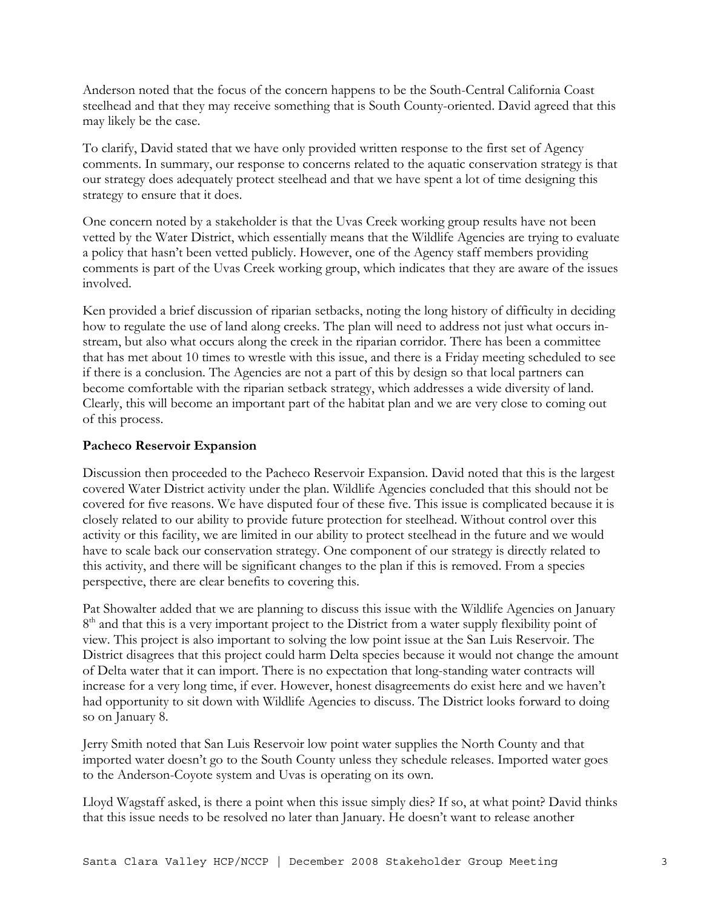Anderson noted that the focus of the concern happens to be the South-Central California Coast steelhead and that they may receive something that is South County-oriented. David agreed that this may likely be the case.

To clarify, David stated that we have only provided written response to the first set of Agency comments. In summary, our response to concerns related to the aquatic conservation strategy is that our strategy does adequately protect steelhead and that we have spent a lot of time designing this strategy to ensure that it does.

One concern noted by a stakeholder is that the Uvas Creek working group results have not been vetted by the Water District, which essentially means that the Wildlife Agencies are trying to evaluate a policy that hasn't been vetted publicly. However, one of the Agency staff members providing comments is part of the Uvas Creek working group, which indicates that they are aware of the issues involved.

Ken provided a brief discussion of riparian setbacks, noting the long history of difficulty in deciding how to regulate the use of land along creeks. The plan will need to address not just what occurs instream, but also what occurs along the creek in the riparian corridor. There has been a committee that has met about 10 times to wrestle with this issue, and there is a Friday meeting scheduled to see if there is a conclusion. The Agencies are not a part of this by design so that local partners can become comfortable with the riparian setback strategy, which addresses a wide diversity of land. Clearly, this will become an important part of the habitat plan and we are very close to coming out of this process.

## **Pacheco Reservoir Expansion**

Discussion then proceeded to the Pacheco Reservoir Expansion. David noted that this is the largest covered Water District activity under the plan. Wildlife Agencies concluded that this should not be covered for five reasons. We have disputed four of these five. This issue is complicated because it is closely related to our ability to provide future protection for steelhead. Without control over this activity or this facility, we are limited in our ability to protect steelhead in the future and we would have to scale back our conservation strategy. One component of our strategy is directly related to this activity, and there will be significant changes to the plan if this is removed. From a species perspective, there are clear benefits to covering this.

Pat Showalter added that we are planning to discuss this issue with the Wildlife Agencies on January  $8<sup>th</sup>$  and that this is a very important project to the District from a water supply flexibility point of view. This project is also important to solving the low point issue at the San Luis Reservoir. The District disagrees that this project could harm Delta species because it would not change the amount of Delta water that it can import. There is no expectation that long-standing water contracts will increase for a very long time, if ever. However, honest disagreements do exist here and we haven't had opportunity to sit down with Wildlife Agencies to discuss. The District looks forward to doing so on January 8.

Jerry Smith noted that San Luis Reservoir low point water supplies the North County and that imported water doesn't go to the South County unless they schedule releases. Imported water goes to the Anderson-Coyote system and Uvas is operating on its own.

Lloyd Wagstaff asked, is there a point when this issue simply dies? If so, at what point? David thinks that this issue needs to be resolved no later than January. He doesn't want to release another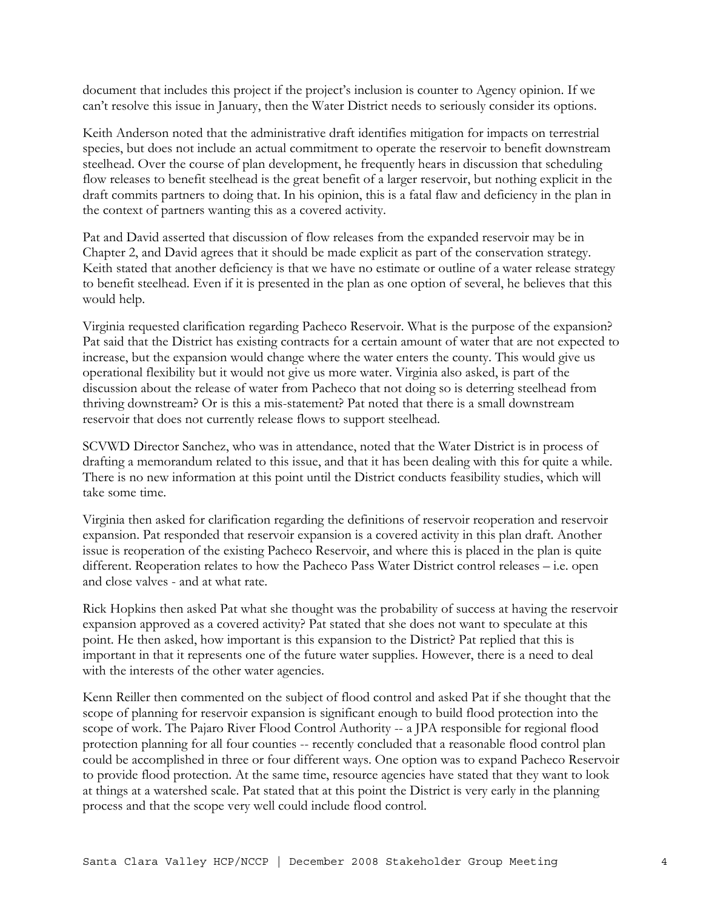document that includes this project if the project's inclusion is counter to Agency opinion. If we can't resolve this issue in January, then the Water District needs to seriously consider its options.

Keith Anderson noted that the administrative draft identifies mitigation for impacts on terrestrial species, but does not include an actual commitment to operate the reservoir to benefit downstream steelhead. Over the course of plan development, he frequently hears in discussion that scheduling flow releases to benefit steelhead is the great benefit of a larger reservoir, but nothing explicit in the draft commits partners to doing that. In his opinion, this is a fatal flaw and deficiency in the plan in the context of partners wanting this as a covered activity.

Pat and David asserted that discussion of flow releases from the expanded reservoir may be in Chapter 2, and David agrees that it should be made explicit as part of the conservation strategy. Keith stated that another deficiency is that we have no estimate or outline of a water release strategy to benefit steelhead. Even if it is presented in the plan as one option of several, he believes that this would help.

Virginia requested clarification regarding Pacheco Reservoir. What is the purpose of the expansion? Pat said that the District has existing contracts for a certain amount of water that are not expected to increase, but the expansion would change where the water enters the county. This would give us operational flexibility but it would not give us more water. Virginia also asked, is part of the discussion about the release of water from Pacheco that not doing so is deterring steelhead from thriving downstream? Or is this a mis-statement? Pat noted that there is a small downstream reservoir that does not currently release flows to support steelhead.

SCVWD Director Sanchez, who was in attendance, noted that the Water District is in process of drafting a memorandum related to this issue, and that it has been dealing with this for quite a while. There is no new information at this point until the District conducts feasibility studies, which will take some time.

Virginia then asked for clarification regarding the definitions of reservoir reoperation and reservoir expansion. Pat responded that reservoir expansion is a covered activity in this plan draft. Another issue is reoperation of the existing Pacheco Reservoir, and where this is placed in the plan is quite different. Reoperation relates to how the Pacheco Pass Water District control releases – i.e. open and close valves - and at what rate.

Rick Hopkins then asked Pat what she thought was the probability of success at having the reservoir expansion approved as a covered activity? Pat stated that she does not want to speculate at this point. He then asked, how important is this expansion to the District? Pat replied that this is important in that it represents one of the future water supplies. However, there is a need to deal with the interests of the other water agencies.

Kenn Reiller then commented on the subject of flood control and asked Pat if she thought that the scope of planning for reservoir expansion is significant enough to build flood protection into the scope of work. The Pajaro River Flood Control Authority -- a JPA responsible for regional flood protection planning for all four counties -- recently concluded that a reasonable flood control plan could be accomplished in three or four different ways. One option was to expand Pacheco Reservoir to provide flood protection. At the same time, resource agencies have stated that they want to look at things at a watershed scale. Pat stated that at this point the District is very early in the planning process and that the scope very well could include flood control.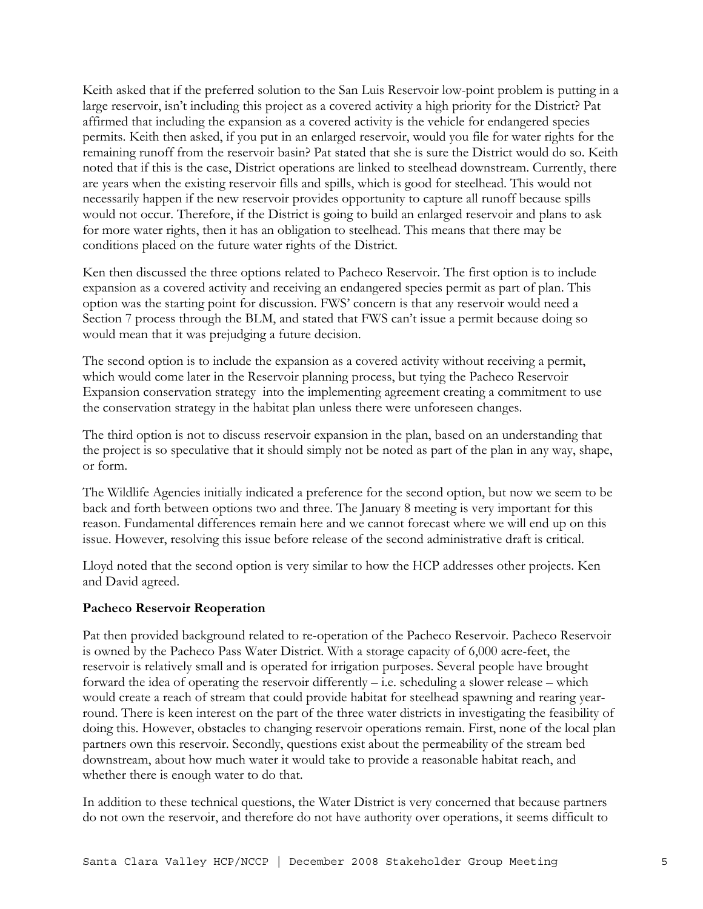Keith asked that if the preferred solution to the San Luis Reservoir low-point problem is putting in a large reservoir, isn't including this project as a covered activity a high priority for the District? Pat affirmed that including the expansion as a covered activity is the vehicle for endangered species permits. Keith then asked, if you put in an enlarged reservoir, would you file for water rights for the remaining runoff from the reservoir basin? Pat stated that she is sure the District would do so. Keith noted that if this is the case, District operations are linked to steelhead downstream. Currently, there are years when the existing reservoir fills and spills, which is good for steelhead. This would not necessarily happen if the new reservoir provides opportunity to capture all runoff because spills would not occur. Therefore, if the District is going to build an enlarged reservoir and plans to ask for more water rights, then it has an obligation to steelhead. This means that there may be conditions placed on the future water rights of the District.

Ken then discussed the three options related to Pacheco Reservoir. The first option is to include expansion as a covered activity and receiving an endangered species permit as part of plan. This option was the starting point for discussion. FWS' concern is that any reservoir would need a Section 7 process through the BLM, and stated that FWS can't issue a permit because doing so would mean that it was prejudging a future decision.

The second option is to include the expansion as a covered activity without receiving a permit, which would come later in the Reservoir planning process, but tying the Pacheco Reservoir Expansion conservation strategy into the implementing agreement creating a commitment to use the conservation strategy in the habitat plan unless there were unforeseen changes.

The third option is not to discuss reservoir expansion in the plan, based on an understanding that the project is so speculative that it should simply not be noted as part of the plan in any way, shape, or form.

The Wildlife Agencies initially indicated a preference for the second option, but now we seem to be back and forth between options two and three. The January 8 meeting is very important for this reason. Fundamental differences remain here and we cannot forecast where we will end up on this issue. However, resolving this issue before release of the second administrative draft is critical.

Lloyd noted that the second option is very similar to how the HCP addresses other projects. Ken and David agreed.

### **Pacheco Reservoir Reoperation**

Pat then provided background related to re-operation of the Pacheco Reservoir. Pacheco Reservoir is owned by the Pacheco Pass Water District. With a storage capacity of 6,000 acre-feet, the reservoir is relatively small and is operated for irrigation purposes. Several people have brought forward the idea of operating the reservoir differently – i.e. scheduling a slower release – which would create a reach of stream that could provide habitat for steelhead spawning and rearing yearround. There is keen interest on the part of the three water districts in investigating the feasibility of doing this. However, obstacles to changing reservoir operations remain. First, none of the local plan partners own this reservoir. Secondly, questions exist about the permeability of the stream bed downstream, about how much water it would take to provide a reasonable habitat reach, and whether there is enough water to do that.

In addition to these technical questions, the Water District is very concerned that because partners do not own the reservoir, and therefore do not have authority over operations, it seems difficult to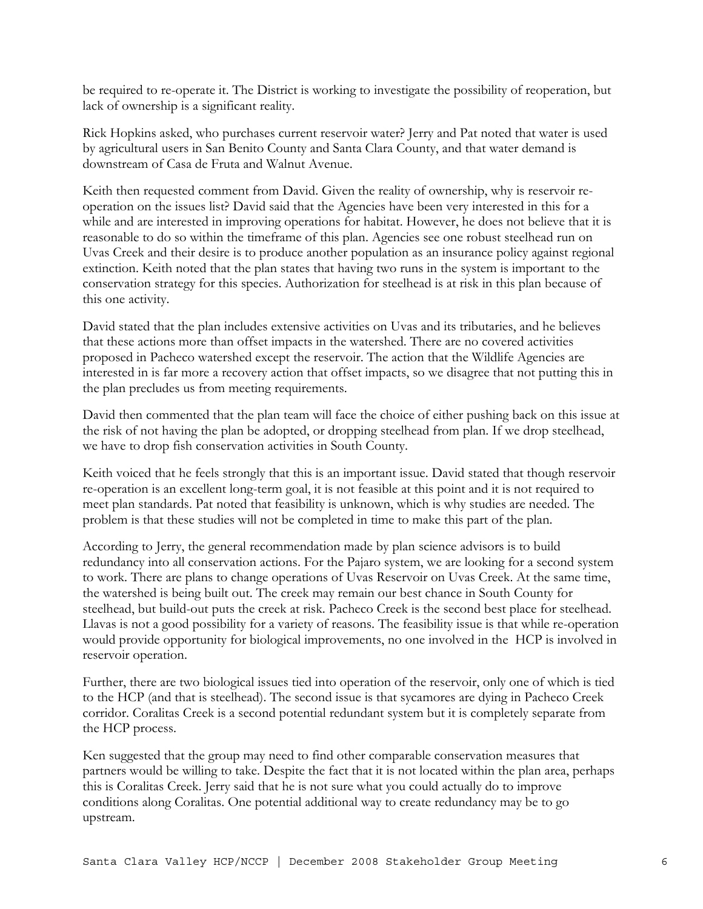be required to re-operate it. The District is working to investigate the possibility of reoperation, but lack of ownership is a significant reality.

Rick Hopkins asked, who purchases current reservoir water? Jerry and Pat noted that water is used by agricultural users in San Benito County and Santa Clara County, and that water demand is downstream of Casa de Fruta and Walnut Avenue.

Keith then requested comment from David. Given the reality of ownership, why is reservoir reoperation on the issues list? David said that the Agencies have been very interested in this for a while and are interested in improving operations for habitat. However, he does not believe that it is reasonable to do so within the timeframe of this plan. Agencies see one robust steelhead run on Uvas Creek and their desire is to produce another population as an insurance policy against regional extinction. Keith noted that the plan states that having two runs in the system is important to the conservation strategy for this species. Authorization for steelhead is at risk in this plan because of this one activity.

David stated that the plan includes extensive activities on Uvas and its tributaries, and he believes that these actions more than offset impacts in the watershed. There are no covered activities proposed in Pacheco watershed except the reservoir. The action that the Wildlife Agencies are interested in is far more a recovery action that offset impacts, so we disagree that not putting this in the plan precludes us from meeting requirements.

David then commented that the plan team will face the choice of either pushing back on this issue at the risk of not having the plan be adopted, or dropping steelhead from plan. If we drop steelhead, we have to drop fish conservation activities in South County.

Keith voiced that he feels strongly that this is an important issue. David stated that though reservoir re-operation is an excellent long-term goal, it is not feasible at this point and it is not required to meet plan standards. Pat noted that feasibility is unknown, which is why studies are needed. The problem is that these studies will not be completed in time to make this part of the plan.

According to Jerry, the general recommendation made by plan science advisors is to build redundancy into all conservation actions. For the Pajaro system, we are looking for a second system to work. There are plans to change operations of Uvas Reservoir on Uvas Creek. At the same time, the watershed is being built out. The creek may remain our best chance in South County for steelhead, but build-out puts the creek at risk. Pacheco Creek is the second best place for steelhead. Llavas is not a good possibility for a variety of reasons. The feasibility issue is that while re-operation would provide opportunity for biological improvements, no one involved in the HCP is involved in reservoir operation.

Further, there are two biological issues tied into operation of the reservoir, only one of which is tied to the HCP (and that is steelhead). The second issue is that sycamores are dying in Pacheco Creek corridor. Coralitas Creek is a second potential redundant system but it is completely separate from the HCP process.

Ken suggested that the group may need to find other comparable conservation measures that partners would be willing to take. Despite the fact that it is not located within the plan area, perhaps this is Coralitas Creek. Jerry said that he is not sure what you could actually do to improve conditions along Coralitas. One potential additional way to create redundancy may be to go upstream.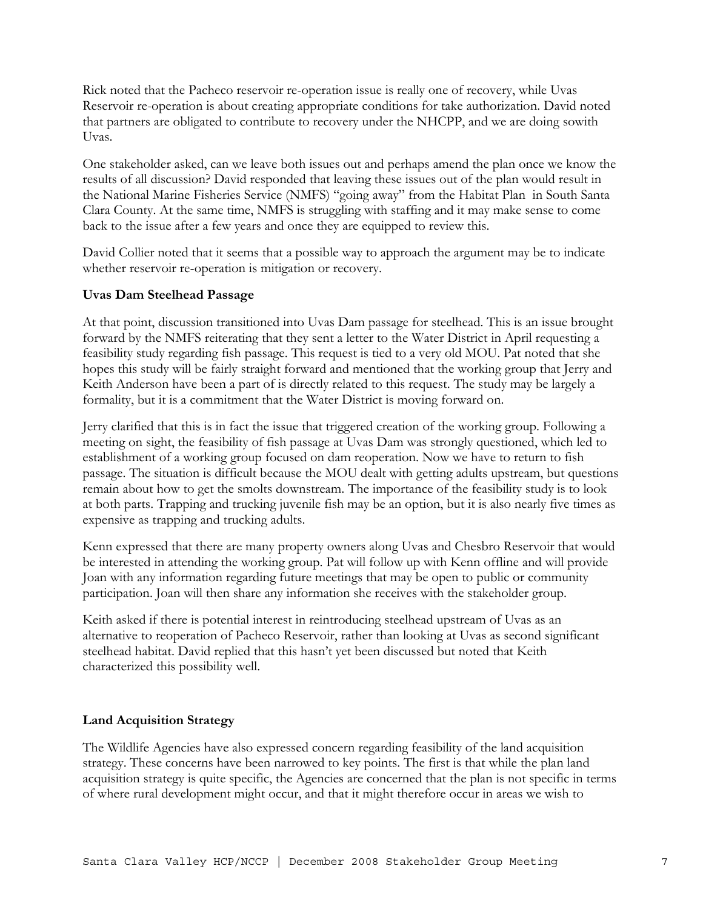Rick noted that the Pacheco reservoir re-operation issue is really one of recovery, while Uvas Reservoir re-operation is about creating appropriate conditions for take authorization. David noted that partners are obligated to contribute to recovery under the NHCPP, and we are doing sowith Uvas.

One stakeholder asked, can we leave both issues out and perhaps amend the plan once we know the results of all discussion? David responded that leaving these issues out of the plan would result in the National Marine Fisheries Service (NMFS) "going away" from the Habitat Plan in South Santa Clara County. At the same time, NMFS is struggling with staffing and it may make sense to come back to the issue after a few years and once they are equipped to review this.

David Collier noted that it seems that a possible way to approach the argument may be to indicate whether reservoir re-operation is mitigation or recovery.

## **Uvas Dam Steelhead Passage**

At that point, discussion transitioned into Uvas Dam passage for steelhead. This is an issue brought forward by the NMFS reiterating that they sent a letter to the Water District in April requesting a feasibility study regarding fish passage. This request is tied to a very old MOU. Pat noted that she hopes this study will be fairly straight forward and mentioned that the working group that Jerry and Keith Anderson have been a part of is directly related to this request. The study may be largely a formality, but it is a commitment that the Water District is moving forward on.

Jerry clarified that this is in fact the issue that triggered creation of the working group. Following a meeting on sight, the feasibility of fish passage at Uvas Dam was strongly questioned, which led to establishment of a working group focused on dam reoperation. Now we have to return to fish passage. The situation is difficult because the MOU dealt with getting adults upstream, but questions remain about how to get the smolts downstream. The importance of the feasibility study is to look at both parts. Trapping and trucking juvenile fish may be an option, but it is also nearly five times as expensive as trapping and trucking adults.

Kenn expressed that there are many property owners along Uvas and Chesbro Reservoir that would be interested in attending the working group. Pat will follow up with Kenn offline and will provide Joan with any information regarding future meetings that may be open to public or community participation. Joan will then share any information she receives with the stakeholder group.

Keith asked if there is potential interest in reintroducing steelhead upstream of Uvas as an alternative to reoperation of Pacheco Reservoir, rather than looking at Uvas as second significant steelhead habitat. David replied that this hasn't yet been discussed but noted that Keith characterized this possibility well.

### **Land Acquisition Strategy**

The Wildlife Agencies have also expressed concern regarding feasibility of the land acquisition strategy. These concerns have been narrowed to key points. The first is that while the plan land acquisition strategy is quite specific, the Agencies are concerned that the plan is not specific in terms of where rural development might occur, and that it might therefore occur in areas we wish to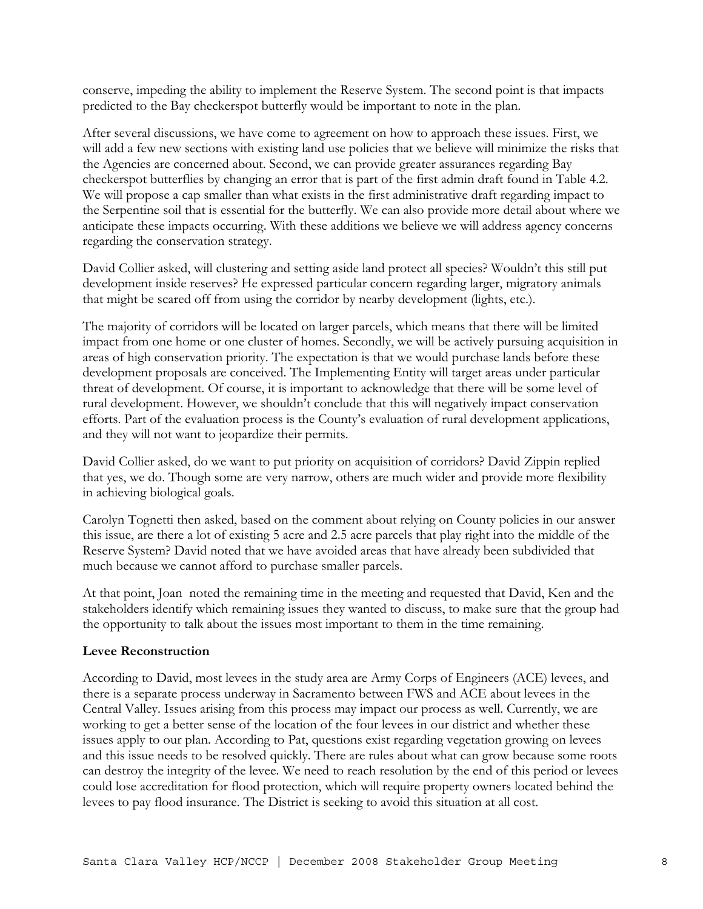conserve, impeding the ability to implement the Reserve System. The second point is that impacts predicted to the Bay checkerspot butterfly would be important to note in the plan.

After several discussions, we have come to agreement on how to approach these issues. First, we will add a few new sections with existing land use policies that we believe will minimize the risks that the Agencies are concerned about. Second, we can provide greater assurances regarding Bay checkerspot butterflies by changing an error that is part of the first admin draft found in Table 4.2. We will propose a cap smaller than what exists in the first administrative draft regarding impact to the Serpentine soil that is essential for the butterfly. We can also provide more detail about where we anticipate these impacts occurring. With these additions we believe we will address agency concerns regarding the conservation strategy.

David Collier asked, will clustering and setting aside land protect all species? Wouldn't this still put development inside reserves? He expressed particular concern regarding larger, migratory animals that might be scared off from using the corridor by nearby development (lights, etc.).

The majority of corridors will be located on larger parcels, which means that there will be limited impact from one home or one cluster of homes. Secondly, we will be actively pursuing acquisition in areas of high conservation priority. The expectation is that we would purchase lands before these development proposals are conceived. The Implementing Entity will target areas under particular threat of development. Of course, it is important to acknowledge that there will be some level of rural development. However, we shouldn't conclude that this will negatively impact conservation efforts. Part of the evaluation process is the County's evaluation of rural development applications, and they will not want to jeopardize their permits.

David Collier asked, do we want to put priority on acquisition of corridors? David Zippin replied that yes, we do. Though some are very narrow, others are much wider and provide more flexibility in achieving biological goals.

Carolyn Tognetti then asked, based on the comment about relying on County policies in our answer this issue, are there a lot of existing 5 acre and 2.5 acre parcels that play right into the middle of the Reserve System? David noted that we have avoided areas that have already been subdivided that much because we cannot afford to purchase smaller parcels.

At that point, Joan noted the remaining time in the meeting and requested that David, Ken and the stakeholders identify which remaining issues they wanted to discuss, to make sure that the group had the opportunity to talk about the issues most important to them in the time remaining.

### **Levee Reconstruction**

According to David, most levees in the study area are Army Corps of Engineers (ACE) levees, and there is a separate process underway in Sacramento between FWS and ACE about levees in the Central Valley. Issues arising from this process may impact our process as well. Currently, we are working to get a better sense of the location of the four levees in our district and whether these issues apply to our plan. According to Pat, questions exist regarding vegetation growing on levees and this issue needs to be resolved quickly. There are rules about what can grow because some roots can destroy the integrity of the levee. We need to reach resolution by the end of this period or levees could lose accreditation for flood protection, which will require property owners located behind the levees to pay flood insurance. The District is seeking to avoid this situation at all cost.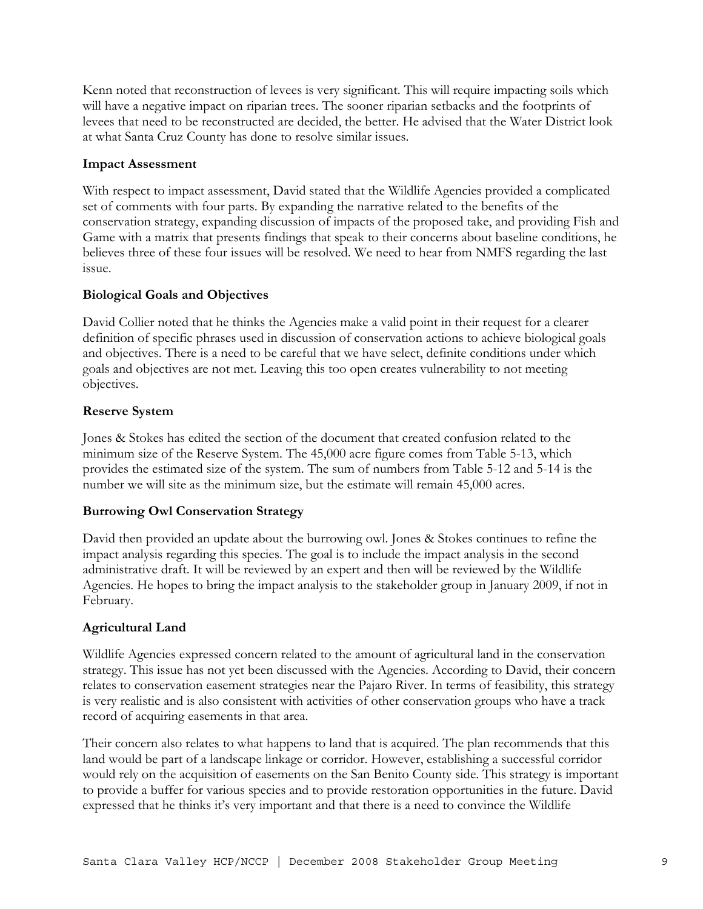Kenn noted that reconstruction of levees is very significant. This will require impacting soils which will have a negative impact on riparian trees. The sooner riparian setbacks and the footprints of levees that need to be reconstructed are decided, the better. He advised that the Water District look at what Santa Cruz County has done to resolve similar issues.

## **Impact Assessment**

With respect to impact assessment, David stated that the Wildlife Agencies provided a complicated set of comments with four parts. By expanding the narrative related to the benefits of the conservation strategy, expanding discussion of impacts of the proposed take, and providing Fish and Game with a matrix that presents findings that speak to their concerns about baseline conditions, he believes three of these four issues will be resolved. We need to hear from NMFS regarding the last issue.

# **Biological Goals and Objectives**

David Collier noted that he thinks the Agencies make a valid point in their request for a clearer definition of specific phrases used in discussion of conservation actions to achieve biological goals and objectives. There is a need to be careful that we have select, definite conditions under which goals and objectives are not met. Leaving this too open creates vulnerability to not meeting objectives.

## **Reserve System**

Jones & Stokes has edited the section of the document that created confusion related to the minimum size of the Reserve System. The 45,000 acre figure comes from Table 5-13, which provides the estimated size of the system. The sum of numbers from Table 5-12 and 5-14 is the number we will site as the minimum size, but the estimate will remain 45,000 acres.

# **Burrowing Owl Conservation Strategy**

David then provided an update about the burrowing owl. Jones & Stokes continues to refine the impact analysis regarding this species. The goal is to include the impact analysis in the second administrative draft. It will be reviewed by an expert and then will be reviewed by the Wildlife Agencies. He hopes to bring the impact analysis to the stakeholder group in January 2009, if not in February.

# **Agricultural Land**

Wildlife Agencies expressed concern related to the amount of agricultural land in the conservation strategy. This issue has not yet been discussed with the Agencies. According to David, their concern relates to conservation easement strategies near the Pajaro River. In terms of feasibility, this strategy is very realistic and is also consistent with activities of other conservation groups who have a track record of acquiring easements in that area.

Their concern also relates to what happens to land that is acquired. The plan recommends that this land would be part of a landscape linkage or corridor. However, establishing a successful corridor would rely on the acquisition of easements on the San Benito County side. This strategy is important to provide a buffer for various species and to provide restoration opportunities in the future. David expressed that he thinks it's very important and that there is a need to convince the Wildlife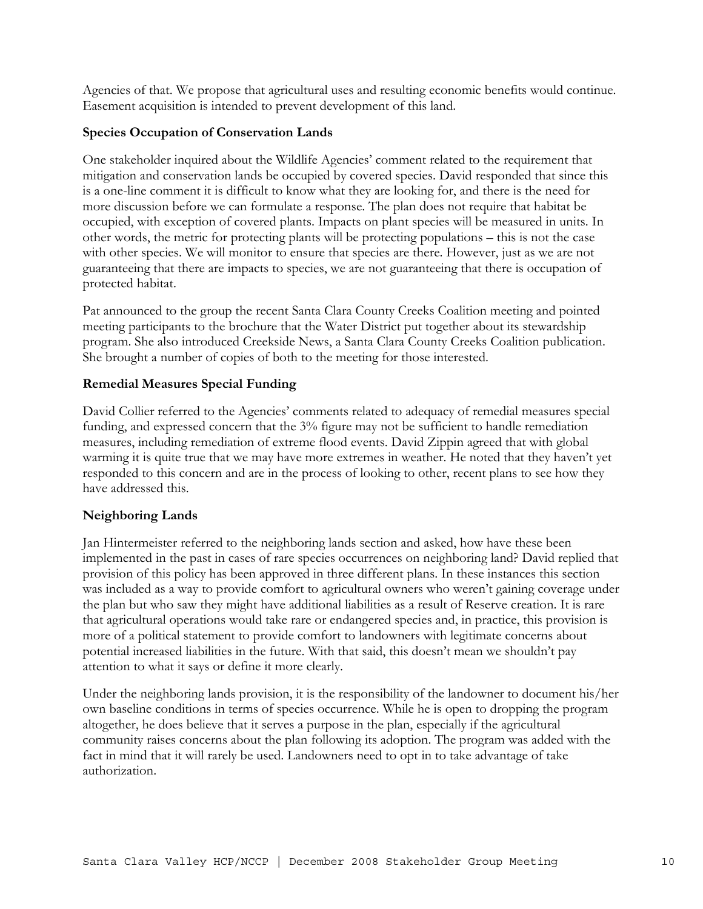Agencies of that. We propose that agricultural uses and resulting economic benefits would continue. Easement acquisition is intended to prevent development of this land.

# **Species Occupation of Conservation Lands**

One stakeholder inquired about the Wildlife Agencies' comment related to the requirement that mitigation and conservation lands be occupied by covered species. David responded that since this is a one-line comment it is difficult to know what they are looking for, and there is the need for more discussion before we can formulate a response. The plan does not require that habitat be occupied, with exception of covered plants. Impacts on plant species will be measured in units. In other words, the metric for protecting plants will be protecting populations – this is not the case with other species. We will monitor to ensure that species are there. However, just as we are not guaranteeing that there are impacts to species, we are not guaranteeing that there is occupation of protected habitat.

Pat announced to the group the recent Santa Clara County Creeks Coalition meeting and pointed meeting participants to the brochure that the Water District put together about its stewardship program. She also introduced Creekside News, a Santa Clara County Creeks Coalition publication. She brought a number of copies of both to the meeting for those interested.

# **Remedial Measures Special Funding**

David Collier referred to the Agencies' comments related to adequacy of remedial measures special funding, and expressed concern that the 3% figure may not be sufficient to handle remediation measures, including remediation of extreme flood events. David Zippin agreed that with global warming it is quite true that we may have more extremes in weather. He noted that they haven't yet responded to this concern and are in the process of looking to other, recent plans to see how they have addressed this.

### **Neighboring Lands**

Jan Hintermeister referred to the neighboring lands section and asked, how have these been implemented in the past in cases of rare species occurrences on neighboring land? David replied that provision of this policy has been approved in three different plans. In these instances this section was included as a way to provide comfort to agricultural owners who weren't gaining coverage under the plan but who saw they might have additional liabilities as a result of Reserve creation. It is rare that agricultural operations would take rare or endangered species and, in practice, this provision is more of a political statement to provide comfort to landowners with legitimate concerns about potential increased liabilities in the future. With that said, this doesn't mean we shouldn't pay attention to what it says or define it more clearly.

Under the neighboring lands provision, it is the responsibility of the landowner to document his/her own baseline conditions in terms of species occurrence. While he is open to dropping the program altogether, he does believe that it serves a purpose in the plan, especially if the agricultural community raises concerns about the plan following its adoption. The program was added with the fact in mind that it will rarely be used. Landowners need to opt in to take advantage of take authorization.